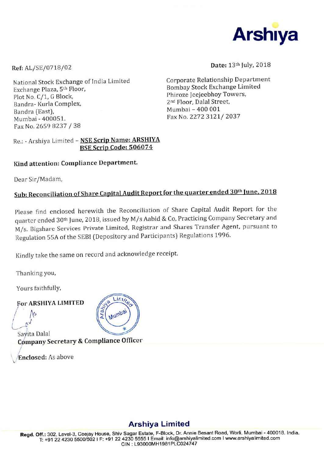

Ref: AL/SE/0718/02

National Stock Exchange of India Limited Exchange Plaza, 5<sup>th</sup> Floor, Plot No. C/1, G Block, Bandra- Kurla Complex, Bandra (East), Mumbai - 400051. Fax No. 2659 8237 / 38

Date: 13th July, 2018

Corporate Relationship Department **Bombay Stock Exchange Limited** Phiroze Jeejeebhoy Towers, 2nd Floor, Dalal Street, Mumbai - 400 001 Fax No. 2272 3121/2037

#### Re.: - Arshiya Limited - NSE Scrip Name: ARSHIYA BSE Scrip Code: 506074

## Kind attention: Compliance Department.

Dear Sir/Madam,

# Sub: Reconciliation of Share Capital Audit Report for the quarter ended 30<sup>th</sup> June, 2018

Please find enclosed herewith the Reconciliation of Share Capital Audit Report for the quarter ended 30<sup>th</sup> June, 2018, issued by M/s Aabid & Co, Practicing Company Secretary and M/s. Bigshare Services Private Limited, Registrar and Shares Transfer Agent, pursuant to Regulation 55A of the SEBI (Depository and Participants) Regulations 1996.

Kindly take the same on record and acknowledge receipt.

Thanking you,

Yours faithfully,

**For ARSHIYA LIMITED** 



Sayita Dalal Company Secretary & Compliance Officer

Enclosed: As above

# **Arshiya Limited**

Regd. Off.: 302, Level-3, Ceejay House, Shiv Sagar Estate, F-Block, Dr. Annie Besant Road, Worli, Mumbai - 400018. India. T: +91 22 4230 5500/502 I F: +91 22 4230 5555 I Email: info@arshiyalimited.com I www.arshiyalimited.com CIN: L93000MH1981PLC024747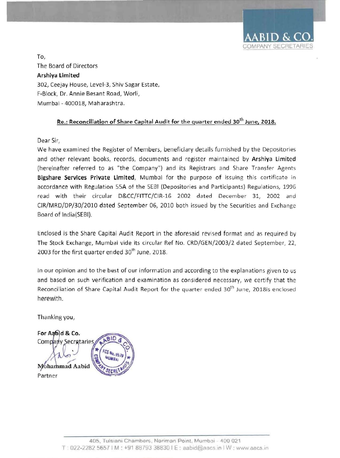

To, The Board of Directors Arshiya Limited 302, Ceejay House, Level-3, Shiv Sagar Estate, F-Block, Dr. Annie Besant Road, Worli, Mumbai - 400018, Maharashtra.

## Re.: Reconciliation of Share Capital Audit for the quarter ended  $30^{th}$  June, 2018.

Dear Sir,

We have examined the Register of Members, beneficiary details furnished by the Depositories and other relevant books, records, documents and register maintained by Arshiya Limited (hereinafter referred to as "the Company") and its Registrars and Share Transfer Agents Bigshare Services Private Limited, Mumbai for the purpose of issuing this certificate in accordance with Regulation SSA of the SEBI (Depositories and Participants) Regulations, 1996 read with their circular D&CC/FITIC/CIR-16 2002 dated December 31, 2002 and CIR/MRD/DP/30/2010 dated September 06, 2010 both issued by the Securities and Exchange Board of India(SEBI).

Enclosed is the Share Capital Audit Report in the aforesaid revised format and as required by The Stock Exchange, Mumbai vide its circular Ref No. CRD/GEN/2003/2 dated September, 22, 2003 for the first quarter ended  $30<sup>th</sup>$  June, 2018.

In our opinion and to the best of our information and according to the explanations given to us and based on such verification and examination as considered necessary, we certify that the Reconciliation of Share Capital Audit Report for the quarter ended 30<sup>th</sup> June, 2018is enclosed herewith.

Thanking you,

For Aabid & Co. Company Secretaries Mohammad Aabid Partner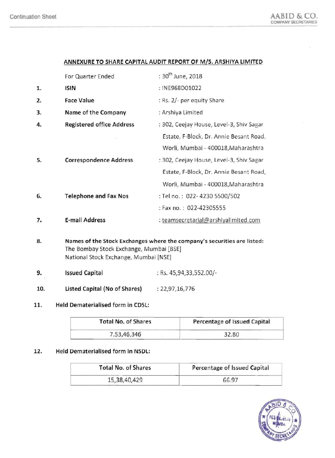# ANNEXURE TO SHARE CAPITAL AUDIT REPORT OF *MIS.* ARSHIYA LIMITED

|    | For Quarter Ended                | : 30 <sup>th</sup> June, 2018            |
|----|----------------------------------|------------------------------------------|
| 1. | <b>ISIN</b>                      | : INE968D01022                           |
| 2. | Face Value                       | : Rs. 2/- per equity Share               |
| 3. | Name of the Company              | : Arshiya Limited                        |
| 4. | <b>Registered office Address</b> | : 302, Ceejay House, Level-3, Shiv Sagar |
|    |                                  | Estate, F-Block, Dr. Annie Besant Road,  |
|    |                                  | Worli, Mumbai - 400018, Maharashtra      |
| 5. | <b>Correspondence Address</b>    | : 302, Ceejay House, Level-3, Shiv Sagar |
|    |                                  | Estate, F-Block, Dr. Annie Besant Road,  |
|    |                                  | Worli, Mumbai - 400018, Maharashtra      |
| 6. | <b>Telephone and Fax Nos</b>     | : Tel no.: 022-4230 5500/502             |
|    |                                  | : Fax no.: 022-42305555                  |
| 7. | <b>E-mail Address</b>            | : teamsecretarial@arshiyalimited.com     |
|    |                                  |                                          |

- 8. Names of the Stock Exchanges where the company's securities are listed: The Bombay Stock Exchange, Mumbai [BSE] National Stock Exchange, Mumbai [NSE]
- **9.** Issued Capital **19. In the State Capital** 1. Rs. 45,94,33,552.00/-
- 10. Listed Capital (No of Shares) : 22,97,16,776

# 11. Held Dematerialised form in CDSL:

| <b>Total No. of Shares</b> | Percentage of Issued Capital |  |  |
|----------------------------|------------------------------|--|--|
| 7,53,46,346                | 32.80                        |  |  |

## 12. Held Dematerialised form in NSDL:

| <b>Total No. of Shares</b> | Percentage of Issued Capital |  |
|----------------------------|------------------------------|--|
| 15,38,40,429               | 66.97                        |  |

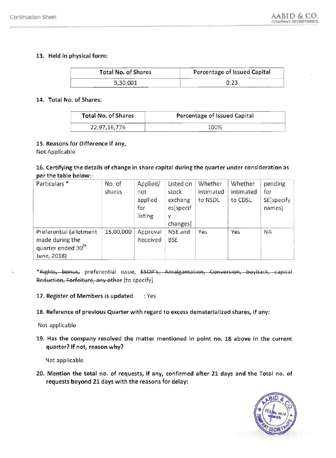#### 13. Held in physical form:

| <b>Total No. of Shares</b> | Percentage of Issued Capital |
|----------------------------|------------------------------|
| 5,30,001                   |                              |

#### 14. Total No. of Shares:

| <b>Total No. of Shares</b> | Percentage of Issued Capital |
|----------------------------|------------------------------|
| 22,97,16,776               | 100%                         |

#### 15. Reasons for Difference if any,

Not Applicable

# 16. Certifying the details of change in share capital during the quarter under consideration as<br>per the table below:-<br>Particulars \* No. of Applied/ Listed on Whether Whether per the table below:

| Particulars *                                                                               | No. of<br>shares | Applied/<br>not<br>applied<br>for<br>listing | Listed on<br>stock<br>exchang<br>es[specif<br>y<br>changes] | Whether<br>intimated<br>to NSDL | Whether<br>intimated<br>to CDSL | pending<br>for<br>SE[specify<br>names] |
|---------------------------------------------------------------------------------------------|------------------|----------------------------------------------|-------------------------------------------------------------|---------------------------------|---------------------------------|----------------------------------------|
| Preferential (allotment<br>made during the<br>quarter ended 30 <sup>th</sup><br>June, 2018) | 15,00,000        | Approval<br>Received                         | NSE and<br><b>BSE</b>                                       | Yes                             | Yes                             | <b>NA</b>                              |

\*Rights, bonus, preferential issue, ESOP's, Amalgamation, Conversion, buyback, capital Reduction, Forfeiture, any other [to specify]

#### 17. Register of Members is updated : Yes

18. Reference of previous Quarter with regard to excess dematerialized shares, if any:

Not applicable

19. Has the company resolved the matter mentioned in point no. 18 above in the current quarter? If not, reason why?

Not applicable

20. Mention the total no. of requests, if any, confirmed after 21 days and the Total no. of requests beyond **21** days with the reasons for delay:

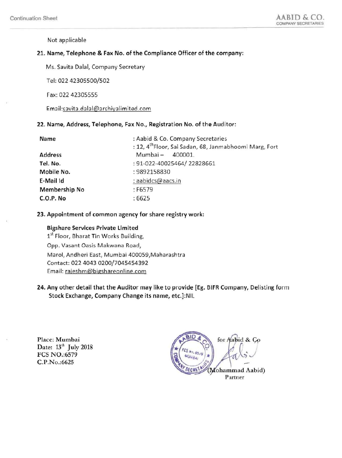Not applicable

#### 21. Name, Telephone & Fax No. of the Compliance Officer of the company:

Ms. Savita Dalal, Company Secretary

Tel: 02242305500/502

Fax: 022 42305555

Email:savita.dalal@arshiyalimited.com

#### 22. Name, Address, Telephone, Fax No., Registration No. of the Auditor:

| Name                 | : Aabid & Co. Company Secretaries                                  |  |  |
|----------------------|--------------------------------------------------------------------|--|--|
|                      | : 12, 4 <sup>th</sup> Floor, Sai Sadan, 68, Janmabhoomi Marg, Fort |  |  |
| <b>Address</b>       | Mumbai –<br>400001.                                                |  |  |
| Tel. No.             | : 91-022-40025464/22828661                                         |  |  |
| Mobile No.           | : 9892158830                                                       |  |  |
| E-Mail Id            | : aabidcs@aacs.in                                                  |  |  |
| <b>Membership No</b> | $:$ F6579                                                          |  |  |
| C.O.P. No            | :6625                                                              |  |  |

#### 23. Appointment of common agency for share registry work:

#### Bigshare Services Private Limited

1<sup>st</sup> Floor, Bharat Tin Works Building, Opp. Vasant Oasis Makwana Road, Marol, Andheri East, Mumbai 400059,Maharashtra Contact: 0224043 0200/7045454392 Email: rajeshm@bigshareonline.com

24. Any other detail that the Auditor may like to provide [Eg. 61FR Company, Delisting form Stock Exchange, Company Change its name, etc.]:NIL

Place: Mumbai Date:  $13<sup>th</sup>$  July 2018 FCS NO.:6579 C.P.No.:6625

for Aabid & Co Mohammad Aabid) Partner